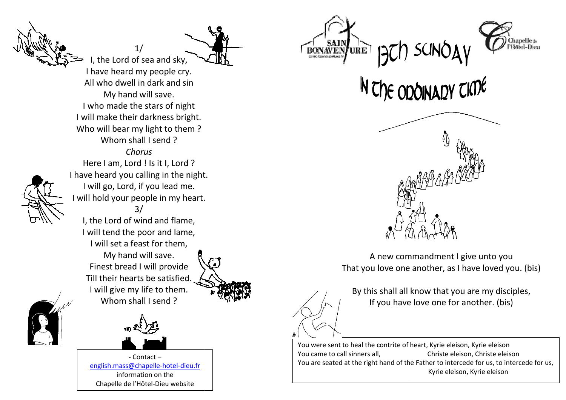

I have heard my people cry. All who dwell in dark and sin My hand will save. I who made the stars of night I will make their darkness bright.Who will bear my light to them ?Whom shall I send? *Chorus* Here I am, Lord ! Is it I, Lord ? I have heard you calling in the night.I will go, Lord, if you lead me. I will hold your people in my heart.3/ I, the Lord of wind and flame, I will tend the poor and lame, I will set a feast for them, My hand will save. Finest bread I will provide Till their hearts be satisfied. I will give my life to them. Whom shall I send ?

1/ I, the Lord of sea and sky,



- Contact – english.mass@chapelle-hotel-dieu.frinformation on the Chapelle de l'Hôtel-Dieu website









That you love one another, as I have loved you. (bis)

That you love one another, as I have loved you. (bis)<br>By this shall all know that you are my disciples, If you have love one for another. (bis)

You were sent to heal the contrite of heart, Kyrie eleison, Kyrie eleison Christe eleison, Christe eleison You came to call sinners all, You are seated at the right hand of the Father to intercede for us, to intercede for us, Kyrie eleison, Kyrie eleison